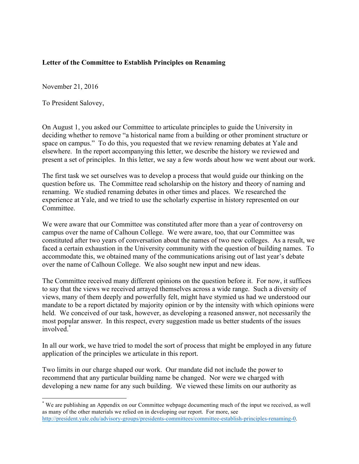## **Letter of the Committee to Establish Principles on Renaming**

November 21, 2016

To President Salovey,

On August 1, you asked our Committee to articulate principles to guide the University in deciding whether to remove "a historical name from a building or other prominent structure or space on campus." To do this, you requested that we review renaming debates at Yale and elsewhere. In the report accompanying this letter, we describe the history we reviewed and present a set of principles. In this letter, we say a few words about how we went about our work.

The first task we set ourselves was to develop a process that would guide our thinking on the question before us. The Committee read scholarship on the history and theory of naming and renaming. We studied renaming debates in other times and places. We researched the experience at Yale, and we tried to use the scholarly expertise in history represented on our Committee.

We were aware that our Committee was constituted after more than a year of controversy on campus over the name of Calhoun College. We were aware, too, that our Committee was constituted after two years of conversation about the names of two new colleges. As a result, we faced a certain exhaustion in the University community with the question of building names.To accommodate this, we obtained many of the communications arising out of last year's debate over the name of Calhoun College. We also sought new input and new ideas.

The Committee received many different opinions on the question before it. For now, it suffices to say that the views we received arrayed themselves across a wide range. Such a diversity of views, many of them deeply and powerfully felt, might have stymied us had we understood our mandate to be a report dictated by majority opinion or by the intensity with which opinions were held. We conceived of our task, however, as developing a reasoned answer, not necessarily the most popular answer. In this respect, every suggestion made us better students of the issues involved.\*

In all our work, we have tried to model the sort of process that might be employed in any future application of the principles we articulate in this report.

Two limits in our charge shaped our work. Our mandate did not include the power to recommend that any particular building name be changed. Nor were we charged with developing a new name for any such building. We viewed these limits on our authority as

 <sup>\*</sup> We are publishing an Appendix on our Committee webpage documenting much of the input we received, as well as many of the other materials we relied on in developing our report. For more, see http://president.yale.edu/advisory-groups/presidents-committees/committee-establish-principles-renaming-0.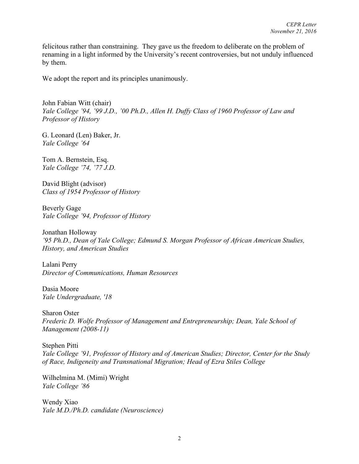felicitous rather than constraining. They gave us the freedom to deliberate on the problem of renaming in a light informed by the University's recent controversies, but not unduly influenced by them.

We adopt the report and its principles unanimously.

John Fabian Witt (chair) *Yale College '94, '99 J.D., '00 Ph.D., Allen H. Duffy Class of 1960 Professor of Law and Professor of History*

G. Leonard (Len) Baker, Jr. *Yale College '64*

Tom A. Bernstein, Esq. *Yale College '74, '77 J.D.*

David Blight (advisor) *Class of 1954 Professor of History*

Beverly Gage *Yale College '94, Professor of History*

Jonathan Holloway *'95 Ph.D., Dean of Yale College; Edmund S. Morgan Professor of African American Studies, History, and American Studies*

Lalani Perry *Director of Communications, Human Resources*

Dasia Moore *Yale Undergraduate, '18* 

Sharon Oster *Frederic D. Wolfe Professor of Management and Entrepreneurship; Dean, Yale School of Management (2008-11)*

Stephen Pitti *Yale College '91, Professor of History and of American Studies; Director, Center for the Study of Race, Indigeneity and Transnational Migration; Head of Ezra Stiles College*

Wilhelmina M. (Mimi) Wright *Yale College '86*

Wendy Xiao *Yale M.D./Ph.D. candidate (Neuroscience)*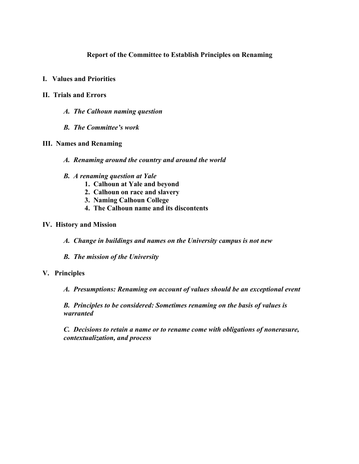### **Report of the Committee to Establish Principles on Renaming**

- **I. Values and Priorities**
- **II. Trials and Errors**
	- *A. The Calhoun naming question*
	- *B. The Committee's work*

#### **III. Names and Renaming**

- *A. Renaming around the country and around the world*
- *B. A renaming question at Yale*
	- **1. Calhoun at Yale and beyond**
	- **2. Calhoun on race and slavery**
	- **3. Naming Calhoun College**
	- **4. The Calhoun name and its discontents**

#### **IV. History and Mission**

- *A. Change in buildings and names on the University campus is not new*
- *B. The mission of the University*

#### **V. Principles**

*A. Presumptions: Renaming on account of values should be an exceptional event* 

*B. Principles to be considered: Sometimes renaming on the basis of values is warranted* 

*C. Decisions to retain a name or to rename come with obligations of nonerasure, contextualization, and process*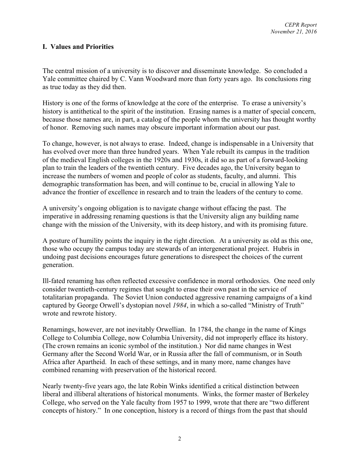### **I. Values and Priorities**

The central mission of a university is to discover and disseminate knowledge. So concluded a Yale committee chaired by C. Vann Woodward more than forty years ago. Its conclusions ring as true today as they did then.

History is one of the forms of knowledge at the core of the enterprise. To erase a university's history is antithetical to the spirit of the institution. Erasing names is a matter of special concern, because those names are, in part, a catalog of the people whom the university has thought worthy of honor. Removing such names may obscure important information about our past.

To change, however, is not always to erase. Indeed, change is indispensable in a University that has evolved over more than three hundred years. When Yale rebuilt its campus in the tradition of the medieval English colleges in the 1920s and 1930s, it did so as part of a forward-looking plan to train the leaders of the twentieth century. Five decades ago, the University began to increase the numbers of women and people of color as students, faculty, and alumni. This demographic transformation has been, and will continue to be, crucial in allowing Yale to advance the frontier of excellence in research and to train the leaders of the century to come.

A university's ongoing obligation is to navigate change without effacing the past. The imperative in addressing renaming questions is that the University align any building name change with the mission of the University, with its deep history, and with its promising future.

A posture of humility points the inquiry in the right direction. At a university as old as this one, those who occupy the campus today are stewards of an intergenerational project. Hubris in undoing past decisions encourages future generations to disrespect the choices of the current generation.

Ill-fated renaming has often reflected excessive confidence in moral orthodoxies. One need only consider twentieth-century regimes that sought to erase their own past in the service of totalitarian propaganda. The Soviet Union conducted aggressive renaming campaigns of a kind captured by George Orwell's dystopian novel *1984*, in which a so-called "Ministry of Truth" wrote and rewrote history.

Renamings, however, are not inevitably Orwellian. In 1784, the change in the name of Kings College to Columbia College, now Columbia University, did not improperly efface its history. (The crown remains an iconic symbol of the institution.) Nor did name changes in West Germany after the Second World War, or in Russia after the fall of communism, or in South Africa after Apartheid. In each of these settings, and in many more, name changes have combined renaming with preservation of the historical record.

Nearly twenty-five years ago, the late Robin Winks identified a critical distinction between liberal and illiberal alterations of historical monuments. Winks, the former master of Berkeley College, who served on the Yale faculty from 1957 to 1999, wrote that there are "two different concepts of history." In one conception, history is a record of things from the past that should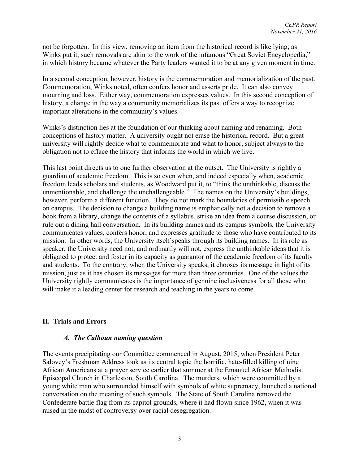not be forgotten. In this view, removing an item from the historical record is like lying; as Winks put it, such removals are akin to the work of the infamous "Great Soviet Encyclopedia," in which history became whatever the Party leaders wanted it to be at any given moment in time.

In a second conception, however, history is the commemoration and memorialization of the past. Commemoration, Winks noted, often confers honor and asserts pride. It can also convey mourning and loss. Either way, commemoration expresses values. In this second conception of history, a change in the way a community memorializes its past offers a way to recognize important alterations in the community's values.

Winks's distinction lies at the foundation of our thinking about naming and renaming. Both conceptions of history matter. A university ought not erase the historical record. But a great university will rightly decide what to commemorate and what to honor, subject always to the obligation not to efface the history that informs the world in which we live.

This last point directs us to one further observation at the outset. The University is rightly a guardian of academic freedom. This is so even when, and indeed especially when, academic freedom leads scholars and students, as Woodward put it, to "think the unthinkable, discuss the unmentionable, and challenge the unchallengeable." The names on the University's buildings, however, perform a different function. They do not mark the boundaries of permissible speech on campus. The decision to change a building name is emphatically not a decision to remove a book from a library, change the contents of a syllabus, strike an idea from a course discussion, or rule out a dining hall conversation. In its building names and its campus symbols, the University communicates values, confers honor, and expresses gratitude to those who have contributed to its mission. In other words, the University itself speaks through its building names. In its role as speaker, the University need not, and ordinarily will not, express the unthinkable ideas that it is obligated to protect and foster in its capacity as guarantor of the academic freedom of its faculty and students. To the contrary, when the University speaks, it chooses its message in light of its mission, just as it has chosen its messages for more than three centuries. One of the values the University rightly communicates is the importance of genuine inclusiveness for all those who will make it a leading center for research and teaching in the years to come.

## **II. Trials and Errors**

#### *A. The Calhoun naming question*

The events precipitating our Committee commenced in August, 2015, when President Peter Salovey's Freshman Address took as its central topic the horrific, hate-filled killing of nine African Americans at a prayer service earlier that summer at the Emanuel African Methodist Episcopal Church in Charleston, South Carolina. The murders, which were committed by a young white man who surrounded himself with symbols of white supremacy, launched a national conversation on the meaning of such symbols. The State of South Carolina removed the Confederate battle flag from its capitol grounds, where it had flown since 1962, when it was raised in the midst of controversy over racial desegregation.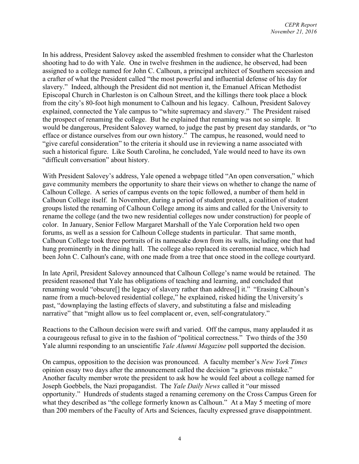In his address, President Salovey asked the assembled freshmen to consider what the Charleston shooting had to do with Yale. One in twelve freshmen in the audience, he observed, had been assigned to a college named for John C. Calhoun, a principal architect of Southern secession and a crafter of what the President called "the most powerful and influential defense of his day for slavery." Indeed, although the President did not mention it, the Emanuel African Methodist Episcopal Church in Charleston is on Calhoun Street, and the killings there took place a block from the city's 80-foot high monument to Calhoun and his legacy. Calhoun, President Salovey explained, connected the Yale campus to "white supremacy and slavery." The President raised the prospect of renaming the college. But he explained that renaming was not so simple. It would be dangerous, President Salovey warned, to judge the past by present day standards, or "to efface or distance ourselves from our own history." The campus, he reasoned, would need to "give careful consideration" to the criteria it should use in reviewing a name associated with such a historical figure. Like South Carolina, he concluded, Yale would need to have its own "difficult conversation" about history.

With President Salovey's address, Yale opened a webpage titled "An open conversation," which gave community members the opportunity to share their views on whether to change the name of Calhoun College. A series of campus events on the topic followed, a number of them held in Calhoun College itself. In November, during a period of student protest, a coalition of student groups listed the renaming of Calhoun College among its aims and called for the University to rename the college (and the two new residential colleges now under construction) for people of color. In January, Senior Fellow Margaret Marshall of the Yale Corporation held two open forums, as well as a session for Calhoun College students in particular. That same month, Calhoun College took three portraits of its namesake down from its walls, including one that had hung prominently in the dining hall. The college also replaced its ceremonial mace, which had been John C. Calhoun's cane, with one made from a tree that once stood in the college courtyard.

In late April, President Salovey announced that Calhoun College's name would be retained. The president reasoned that Yale has obligations of teaching and learning, and concluded that renaming would "obscure[] the legacy of slavery rather than address[] it." "Erasing Calhoun's name from a much-beloved residential college," he explained, risked hiding the University's past, "downplaying the lasting effects of slavery, and substituting a false and misleading narrative" that "might allow us to feel complacent or, even, self-congratulatory."

Reactions to the Calhoun decision were swift and varied. Off the campus, many applauded it as a courageous refusal to give in to the fashion of "political correctness." Two thirds of the 350 Yale alumni responding to an unscientific *Yale Alumni Magazine* poll supported the decision.

On campus, opposition to the decision was pronounced. A faculty member's *New York Times* opinion essay two days after the announcement called the decision "a grievous mistake." Another faculty member wrote the president to ask how he would feel about a college named for Joseph Goebbels, the Nazi propagandist. The *Yale Daily News* called it "our missed opportunity." Hundreds of students staged a renaming ceremony on the Cross Campus Green for what they described as "the college formerly known as Calhoun." At a May 5 meeting of more than 200 members of the Faculty of Arts and Sciences, faculty expressed grave disappointment.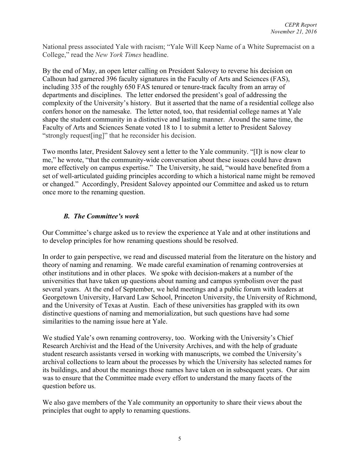National press associated Yale with racism; "Yale Will Keep Name of a White Supremacist on a College," read the *New York Times* headline.

By the end of May, an open letter calling on President Salovey to reverse his decision on Calhoun had garnered 396 faculty signatures in the Faculty of Arts and Sciences (FAS), including 335 of the roughly 650 FAS tenured or tenure-track faculty from an array of departments and disciplines. The letter endorsed the president's goal of addressing the complexity of the University's history. But it asserted that the name of a residential college also confers honor on the namesake. The letter noted, too, that residential college names at Yale shape the student community in a distinctive and lasting manner. Around the same time, the Faculty of Arts and Sciences Senate voted 18 to 1 to submit a letter to President Salovey "strongly request[ing]" that he reconsider his decision.

Two months later, President Salovey sent a letter to the Yale community. "[I]t is now clear to me," he wrote, "that the community-wide conversation about these issues could have drawn more effectively on campus expertise." The University, he said, "would have benefited from a set of well-articulated guiding principles according to which a historical name might be removed or changed." Accordingly, President Salovey appointed our Committee and asked us to return once more to the renaming question.

## *B. The Committee's work*

Our Committee's charge asked us to review the experience at Yale and at other institutions and to develop principles for how renaming questions should be resolved.

In order to gain perspective, we read and discussed material from the literature on the history and theory of naming and renaming. We made careful examination of renaming controversies at other institutions and in other places. We spoke with decision-makers at a number of the universities that have taken up questions about naming and campus symbolism over the past several years. At the end of September, we held meetings and a public forum with leaders at Georgetown University, Harvard Law School, Princeton University, the University of Richmond, and the University of Texas at Austin. Each of these universities has grappled with its own distinctive questions of naming and memorialization, but such questions have had some similarities to the naming issue here at Yale.

We studied Yale's own renaming controversy, too. Working with the University's Chief Research Archivist and the Head of the University Archives, and with the help of graduate student research assistants versed in working with manuscripts, we combed the University's archival collections to learn about the processes by which the University has selected names for its buildings, and about the meanings those names have taken on in subsequent years. Our aim was to ensure that the Committee made every effort to understand the many facets of the question before us.

We also gave members of the Yale community an opportunity to share their views about the principles that ought to apply to renaming questions.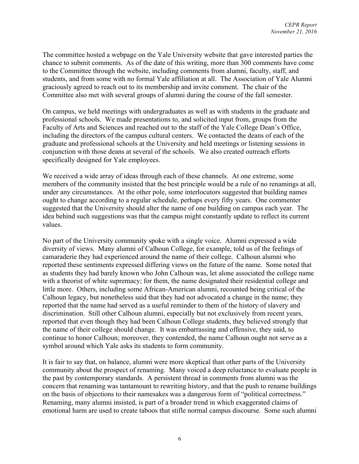The committee hosted a webpage on the Yale University website that gave interested parties the chance to submit comments. As of the date of this writing, more than 300 comments have come to the Committee through the website, including comments from alumni, faculty, staff, and students, and from some with no formal Yale affiliation at all. The Association of Yale Alumni graciously agreed to reach out to its membership and invite comment. The chair of the Committee also met with several groups of alumni during the course of the fall semester.

On campus, we held meetings with undergraduates as well as with students in the graduate and professional schools. We made presentations to, and solicited input from, groups from the Faculty of Arts and Sciences and reached out to the staff of the Yale College Dean's Office, including the directors of the campus cultural centers. We contacted the deans of each of the graduate and professional schools at the University and held meetings or listening sessions in conjunction with those deans at several of the schools. We also created outreach efforts specifically designed for Yale employees.

We received a wide array of ideas through each of these channels. At one extreme, some members of the community insisted that the best principle would be a rule of no renamings at all, under any circumstances. At the other pole, some interlocutors suggested that building names ought to change according to a regular schedule, perhaps every fifty years. One commenter suggested that the University should alter the name of one building on campus each year. The idea behind such suggestions was that the campus might constantly update to reflect its current values.

No part of the University community spoke with a single voice. Alumni expressed a wide diversity of views. Many alumni of Calhoun College, for example, told us of the feelings of camaraderie they had experienced around the name of their college. Calhoun alumni who reported these sentiments expressed differing views on the future of the name. Some noted that as students they had barely known who John Calhoun was, let alone associated the college name with a theorist of white supremacy; for them, the name designated their residential college and little more. Others, including some African-American alumni, recounted being critical of the Calhoun legacy, but nonetheless said that they had not advocated a change in the name; they reported that the name had served as a useful reminder to them of the history of slavery and discrimination. Still other Calhoun alumni, especially but not exclusively from recent years, reported that even though they had been Calhoun College students, they believed strongly that the name of their college should change. It was embarrassing and offensive, they said, to continue to honor Calhoun; moreover, they contended, the name Calhoun ought not serve as a symbol around which Yale asks its students to form community.

It is fair to say that, on balance, alumni were more skeptical than other parts of the University community about the prospect of renaming. Many voiced a deep reluctance to evaluate people in the past by contemporary standards. A persistent thread in comments from alumni was the concern that renaming was tantamount to rewriting history, and that the push to rename buildings on the basis of objections to their namesakes was a dangerous form of "political correctness." Renaming, many alumni insisted, is part of a broader trend in which exaggerated claims of emotional harm are used to create taboos that stifle normal campus discourse. Some such alumni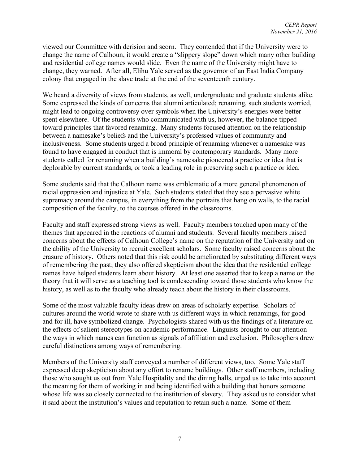viewed our Committee with derision and scorn. They contended that if the University were to change the name of Calhoun, it would create a "slippery slope" down which many other building and residential college names would slide. Even the name of the University might have to change, they warned. After all, Elihu Yale served as the governor of an East India Company colony that engaged in the slave trade at the end of the seventeenth century.

We heard a diversity of views from students, as well, undergraduate and graduate students alike. Some expressed the kinds of concerns that alumni articulated; renaming, such students worried, might lead to ongoing controversy over symbols when the University's energies were better spent elsewhere. Of the students who communicated with us, however, the balance tipped toward principles that favored renaming. Many students focused attention on the relationship between a namesake's beliefs and the University's professed values of community and inclusiveness. Some students urged a broad principle of renaming whenever a namesake was found to have engaged in conduct that is immoral by contemporary standards. Many more students called for renaming when a building's namesake pioneered a practice or idea that is deplorable by current standards, or took a leading role in preserving such a practice or idea.

Some students said that the Calhoun name was emblematic of a more general phenomenon of racial oppression and injustice at Yale. Such students stated that they see a pervasive white supremacy around the campus, in everything from the portraits that hang on walls, to the racial composition of the faculty, to the courses offered in the classrooms.

Faculty and staff expressed strong views as well. Faculty members touched upon many of the themes that appeared in the reactions of alumni and students. Several faculty members raised concerns about the effects of Calhoun College's name on the reputation of the University and on the ability of the University to recruit excellent scholars. Some faculty raised concerns about the erasure of history. Others noted that this risk could be ameliorated by substituting different ways of remembering the past; they also offered skepticism about the idea that the residential college names have helped students learn about history. At least one asserted that to keep a name on the theory that it will serve as a teaching tool is condescending toward those students who know the history, as well as to the faculty who already teach about the history in their classrooms.

Some of the most valuable faculty ideas drew on areas of scholarly expertise. Scholars of cultures around the world wrote to share with us different ways in which renamings, for good and for ill, have symbolized change. Psychologists shared with us the findings of a literature on the effects of salient stereotypes on academic performance. Linguists brought to our attention the ways in which names can function as signals of affiliation and exclusion. Philosophers drew careful distinctions among ways of remembering.

Members of the University staff conveyed a number of different views, too. Some Yale staff expressed deep skepticism about any effort to rename buildings. Other staff members, including those who sought us out from Yale Hospitality and the dining halls, urged us to take into account the meaning for them of working in and being identified with a building that honors someone whose life was so closely connected to the institution of slavery. They asked us to consider what it said about the institution's values and reputation to retain such a name. Some of them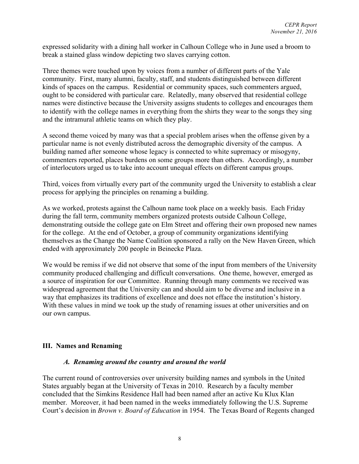expressed solidarity with a dining hall worker in Calhoun College who in June used a broom to break a stained glass window depicting two slaves carrying cotton.

Three themes were touched upon by voices from a number of different parts of the Yale community. First, many alumni, faculty, staff, and students distinguished between different kinds of spaces on the campus. Residential or community spaces, such commenters argued, ought to be considered with particular care. Relatedly, many observed that residential college names were distinctive because the University assigns students to colleges and encourages them to identify with the college names in everything from the shirts they wear to the songs they sing and the intramural athletic teams on which they play.

A second theme voiced by many was that a special problem arises when the offense given by a particular name is not evenly distributed across the demographic diversity of the campus. A building named after someone whose legacy is connected to white supremacy or misogyny, commenters reported, places burdens on some groups more than others. Accordingly, a number of interlocutors urged us to take into account unequal effects on different campus groups.

Third, voices from virtually every part of the community urged the University to establish a clear process for applying the principles on renaming a building.

As we worked, protests against the Calhoun name took place on a weekly basis. Each Friday during the fall term, community members organized protests outside Calhoun College, demonstrating outside the college gate on Elm Street and offering their own proposed new names for the college. At the end of October, a group of community organizations identifying themselves as the Change the Name Coalition sponsored a rally on the New Haven Green, which ended with approximately 200 people in Beinecke Plaza.

We would be remiss if we did not observe that some of the input from members of the University community produced challenging and difficult conversations. One theme, however, emerged as a source of inspiration for our Committee. Running through many comments we received was widespread agreement that the University can and should aim to be diverse and inclusive in a way that emphasizes its traditions of excellence and does not efface the institution's history. With these values in mind we took up the study of renaming issues at other universities and on our own campus.

## **III. Names and Renaming**

#### *A. Renaming around the country and around the world*

The current round of controversies over university building names and symbols in the United States arguably began at the University of Texas in 2010. Research by a faculty member concluded that the Simkins Residence Hall had been named after an active Ku Klux Klan member. Moreover, it had been named in the weeks immediately following the U.S. Supreme Court's decision in *Brown v. Board of Education* in 1954. The Texas Board of Regents changed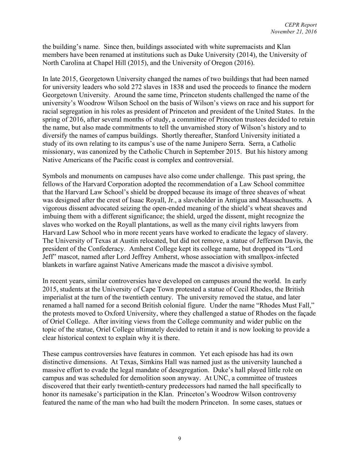the building's name. Since then, buildings associated with white supremacists and Klan members have been renamed at institutions such as Duke University (2014), the University of North Carolina at Chapel Hill (2015), and the University of Oregon (2016).

In late 2015, Georgetown University changed the names of two buildings that had been named for university leaders who sold 272 slaves in 1838 and used the proceeds to finance the modern Georgetown University. Around the same time, Princeton students challenged the name of the university's Woodrow Wilson School on the basis of Wilson's views on race and his support for racial segregation in his roles as president of Princeton and president of the United States. In the spring of 2016, after several months of study, a committee of Princeton trustees decided to retain the name, but also made commitments to tell the unvarnished story of Wilson's history and to diversify the names of campus buildings. Shortly thereafter, Stanford University initiated a study of its own relating to its campus's use of the name Junipero Serra. Serra, a Catholic missionary, was canonized by the Catholic Church in September 2015. But his history among Native Americans of the Pacific coast is complex and controversial.

Symbols and monuments on campuses have also come under challenge. This past spring, the fellows of the Harvard Corporation adopted the recommendation of a Law School committee that the Harvard Law School's shield be dropped because its image of three sheaves of wheat was designed after the crest of Isaac Royall, Jr., a slaveholder in Antigua and Massachusetts. A vigorous dissent advocated seizing the open-ended meaning of the shield's wheat sheaves and imbuing them with a different significance; the shield, urged the dissent, might recognize the slaves who worked on the Royall plantations, as well as the many civil rights lawyers from Harvard Law School who in more recent years have worked to eradicate the legacy of slavery. The University of Texas at Austin relocated, but did not remove, a statue of Jefferson Davis, the president of the Confederacy. Amherst College kept its college name, but dropped its "Lord Jeff" mascot, named after Lord Jeffrey Amherst, whose association with smallpox-infected blankets in warfare against Native Americans made the mascot a divisive symbol.

In recent years, similar controversies have developed on campuses around the world. In early 2015, students at the University of Cape Town protested a statue of Cecil Rhodes, the British imperialist at the turn of the twentieth century. The university removed the statue, and later renamed a hall named for a second British colonial figure. Under the name "Rhodes Must Fall," the protests moved to Oxford University, where they challenged a statue of Rhodes on the façade of Oriel College. After inviting views from the College community and wider public on the topic of the statue, Oriel College ultimately decided to retain it and is now looking to provide a clear historical context to explain why it is there.

These campus controversies have features in common. Yet each episode has had its own distinctive dimensions. At Texas, Simkins Hall was named just as the university launched a massive effort to evade the legal mandate of desegregation. Duke's hall played little role on campus and was scheduled for demolition soon anyway. At UNC, a committee of trustees discovered that their early twentieth-century predecessors had named the hall specifically to honor its namesake's participation in the Klan. Princeton's Woodrow Wilson controversy featured the name of the man who had built the modern Princeton. In some cases, statues or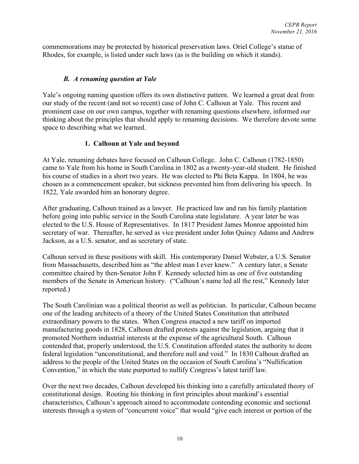commemorations may be protected by historical preservation laws. Oriel College's statue of Rhodes, for example, is listed under such laws (as is the building on which it stands).

# *B. A renaming question at Yale*

Yale's ongoing naming question offers its own distinctive pattern. We learned a great deal from our study of the recent (and not so recent) case of John C. Calhoun at Yale. This recent and prominent case on our own campus, together with renaming questions elsewhere, informed our thinking about the principles that should apply to renaming decisions. We therefore devote some space to describing what we learned.

# **1. Calhoun at Yale and beyond**

At Yale, renaming debates have focused on Calhoun College. John C. Calhoun (1782-1850) came to Yale from his home in South Carolina in 1802 as a twenty-year-old student. He finished his course of studies in a short two years. He was elected to Phi Beta Kappa. In 1804, he was chosen as a commencement speaker, but sickness prevented him from delivering his speech. In 1822, Yale awarded him an honorary degree.

After graduating, Calhoun trained as a lawyer. He practiced law and ran his family plantation before going into public service in the South Carolina state legislature. A year later he was elected to the U.S. House of Representatives. In 1817 President James Monroe appointed him secretary of war. Thereafter, he served as vice president under John Quincy Adams and Andrew Jackson, as a U.S. senator, and as secretary of state.

Calhoun served in these positions with skill. His contemporary Daniel Webster, a U.S. Senator from Massachusetts, described him as "the ablest man I ever knew." A century later, a Senate committee chaired by then-Senator John F. Kennedy selected him as one of five outstanding members of the Senate in American history. ("Calhoun's name led all the rest," Kennedy later reported.)

The South Carolinian was a political theorist as well as politician. In particular, Calhoun became one of the leading architects of a theory of the United States Constitution that attributed extraordinary powers to the states. When Congress enacted a new tariff on imported manufacturing goods in 1828, Calhoun drafted protests against the legislation, arguing that it promoted Northern industrial interests at the expense of the agricultural South. Calhoun contended that, properly understood, the U.S. Constitution afforded states the authority to deem federal legislation "unconstitutional, and therefore null and void." In 1830 Calhoun drafted an address to the people of the United States on the occasion of South Carolina's "Nullification Convention," in which the state purported to nullify Congress's latest tariff law.

Over the next two decades, Calhoun developed his thinking into a carefully articulated theory of constitutional design. Rooting his thinking in first principles about mankind's essential characteristics, Calhoun's approach aimed to accommodate contending economic and sectional interests through a system of "concurrent voice" that would "give each interest or portion of the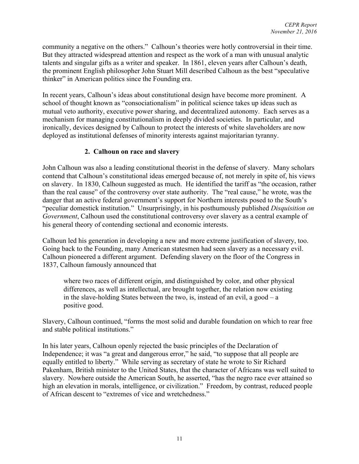community a negative on the others." Calhoun's theories were hotly controversial in their time. But they attracted widespread attention and respect as the work of a man with unusual analytic talents and singular gifts as a writer and speaker. In 1861, eleven years after Calhoun's death, the prominent English philosopher John Stuart Mill described Calhoun as the best "speculative thinker" in American politics since the Founding era.

In recent years, Calhoun's ideas about constitutional design have become more prominent. A school of thought known as "consociationalism" in political science takes up ideas such as mutual veto authority, executive power sharing, and decentralized autonomy. Each serves as a mechanism for managing constitutionalism in deeply divided societies. In particular, and ironically, devices designed by Calhoun to protect the interests of white slaveholders are now deployed as institutional defenses of minority interests against majoritarian tyranny.

## **2. Calhoun on race and slavery**

John Calhoun was also a leading constitutional theorist in the defense of slavery. Many scholars contend that Calhoun's constitutional ideas emerged because of, not merely in spite of, his views on slavery. In 1830, Calhoun suggested as much. He identified the tariff as "the occasion, rather than the real cause" of the controversy over state authority. The "real cause," he wrote, was the danger that an active federal government's support for Northern interests posed to the South's "peculiar domestick institution." Unsurprisingly, in his posthumously published *Disquisition on Government*, Calhoun used the constitutional controversy over slavery as a central example of his general theory of contending sectional and economic interests.

Calhoun led his generation in developing a new and more extreme justification of slavery, too. Going back to the Founding, many American statesmen had seen slavery as a necessary evil. Calhoun pioneered a different argument. Defending slavery on the floor of the Congress in 1837, Calhoun famously announced that

where two races of different origin, and distinguished by color, and other physical differences, as well as intellectual, are brought together, the relation now existing in the slave-holding States between the two, is, instead of an evil, a good – a positive good.

Slavery, Calhoun continued, "forms the most solid and durable foundation on which to rear free and stable political institutions."

In his later years, Calhoun openly rejected the basic principles of the Declaration of Independence; it was "a great and dangerous error," he said, "to suppose that all people are equally entitled to liberty." While serving as secretary of state he wrote to Sir Richard Pakenham, British minister to the United States, that the character of Africans was well suited to slavery. Nowhere outside the American South, he asserted, "has the negro race ever attained so high an elevation in morals, intelligence, or civilization." Freedom, by contrast, reduced people of African descent to "extremes of vice and wretchedness."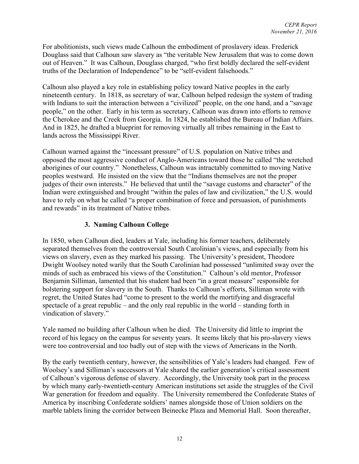For abolitionists, such views made Calhoun the embodiment of proslavery ideas. Frederick Douglass said that Calhoun saw slavery as "the veritable New Jerusalem that was to come down out of Heaven." It was Calhoun, Douglass charged, "who first boldly declared the self-evident truths of the Declaration of Independence" to be "self-evident falsehoods."

Calhoun also played a key role in establishing policy toward Native peoples in the early nineteenth century. In 1818, as secretary of war, Calhoun helped redesign the system of trading with Indians to suit the interaction between a "civilized" people, on the one hand, and a "savage" people," on the other. Early in his term as secretary, Calhoun was drawn into efforts to remove the Cherokee and the Creek from Georgia. In 1824, he established the Bureau of Indian Affairs. And in 1825, he drafted a blueprint for removing virtually all tribes remaining in the East to lands across the Mississippi River.

Calhoun warned against the "incessant pressure" of U.S. population on Native tribes and opposed the most aggressive conduct of Anglo-Americans toward those he called "the wretched aborigines of our country." Nonetheless, Calhoun was intractably committed to moving Native peoples westward. He insisted on the view that the "Indians themselves are not the proper judges of their own interests." He believed that until the "savage customs and character" of the Indian were extinguished and brought "within the pales of law and civilization," the U.S. would have to rely on what he called "a proper combination of force and persuasion, of punishments and rewards" in its treatment of Native tribes.

## **3. Naming Calhoun College**

In 1850, when Calhoun died, leaders at Yale, including his former teachers, deliberately separated themselves from the controversial South Carolinian's views, and especially from his views on slavery, even as they marked his passing. The University's president, Theodore Dwight Woolsey noted warily that the South Carolinian had possessed "unlimited sway over the minds of such as embraced his views of the Constitution." Calhoun's old mentor, Professor Benjamin Silliman, lamented that his student had been "in a great measure" responsible for bolstering support for slavery in the South. Thanks to Calhoun's efforts, Silliman wrote with regret, the United States had "come to present to the world the mortifying and disgraceful spectacle of a great republic – and the only real republic in the world – standing forth in vindication of slavery."

Yale named no building after Calhoun when he died. The University did little to imprint the record of his legacy on the campus for seventy years. It seems likely that his pro-slavery views were too controversial and too badly out of step with the views of Americans in the North.

By the early twentieth century, however, the sensibilities of Yale's leaders had changed. Few of Woolsey's and Silliman's successors at Yale shared the earlier generation's critical assessment of Calhoun's vigorous defense of slavery. Accordingly, the University took part in the process by which many early-twentieth-century American institutions set aside the struggles of the Civil War generation for freedom and equality. The University remembered the Confederate States of America by inscribing Confederate soldiers' names alongside those of Union soldiers on the marble tablets lining the corridor between Beinecke Plaza and Memorial Hall. Soon thereafter,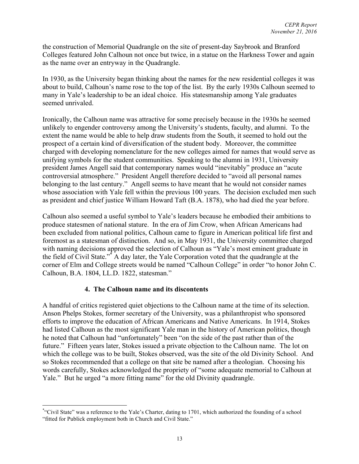the construction of Memorial Quadrangle on the site of present-day Saybrook and Branford Colleges featured John Calhoun not once but twice, in a statue on the Harkness Tower and again as the name over an entryway in the Quadrangle.

In 1930, as the University began thinking about the names for the new residential colleges it was about to build, Calhoun's name rose to the top of the list. By the early 1930s Calhoun seemed to many in Yale's leadership to be an ideal choice. His statesmanship among Yale graduates seemed unrivaled.

Ironically, the Calhoun name was attractive for some precisely because in the 1930s he seemed unlikely to engender controversy among the University's students, faculty, and alumni. To the extent the name would be able to help draw students from the South, it seemed to hold out the prospect of a certain kind of diversification of the student body. Moreover, the committee charged with developing nomenclature for the new colleges aimed for names that would serve as unifying symbols for the student communities. Speaking to the alumni in 1931, University president James Angell said that contemporary names would "inevitably" produce an "acute controversial atmosphere." President Angell therefore decided to "avoid all personal names belonging to the last century." Angell seems to have meant that he would not consider names whose association with Yale fell within the previous 100 years. The decision excluded men such as president and chief justice William Howard Taft (B.A. 1878), who had died the year before.

Calhoun also seemed a useful symbol to Yale's leaders because he embodied their ambitions to produce statesmen of national stature. In the era of Jim Crow, when African Americans had been excluded from national politics, Calhoun came to figure in American political life first and foremost as a statesman of distinction. And so, in May 1931, the University committee charged with naming decisions approved the selection of Calhoun as "Yale's most eminent graduate in the field of Civil State."\* A day later, the Yale Corporation voted that the quadrangle at the corner of Elm and College streets would be named "Calhoun College" in order "to honor John C. Calhoun, B.A. 1804, LL.D. 1822, statesman."

## **4. The Calhoun name and its discontents**

A handful of critics registered quiet objections to the Calhoun name at the time of its selection. Anson Phelps Stokes, former secretary of the University, was a philanthropist who sponsored efforts to improve the education of African Americans and Native Americans. In 1914, Stokes had listed Calhoun as the most significant Yale man in the history of American politics, though he noted that Calhoun had "unfortunately" been "on the side of the past rather than of the future." Fifteen years later, Stokes issued a private objection to the Calhoun name. The lot on which the college was to be built, Stokes observed, was the site of the old Divinity School. And so Stokes recommended that a college on that site be named after a theologian. Choosing his words carefully, Stokes acknowledged the propriety of "some adequate memorial to Calhoun at Yale." But he urged "a more fitting name" for the old Divinity quadrangle.

 <sup>\*</sup> "Civil State" was a reference to the Yale's Charter, dating to 1701, which authorized the founding of a school "fitted for Publick employment both in Church and Civil State."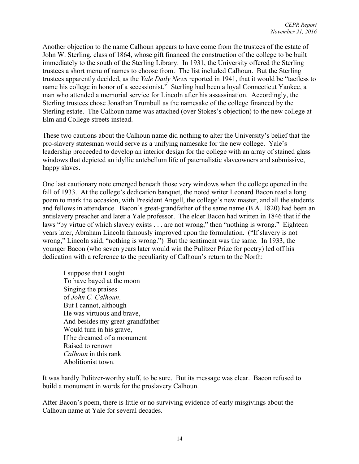Another objection to the name Calhoun appears to have come from the trustees of the estate of John W. Sterling, class of 1864, whose gift financed the construction of the college to be built immediately to the south of the Sterling Library. In 1931, the University offered the Sterling trustees a short menu of names to choose from. The list included Calhoun. But the Sterling trustees apparently decided, as the *Yale Daily News* reported in 1941, that it would be "tactless to name his college in honor of a secessionist." Sterling had been a loyal Connecticut Yankee, a man who attended a memorial service for Lincoln after his assassination. Accordingly, the Sterling trustees chose Jonathan Trumbull as the namesake of the college financed by the Sterling estate. The Calhoun name was attached (over Stokes's objection) to the new college at Elm and College streets instead.

These two cautions about the Calhoun name did nothing to alter the University's belief that the pro-slavery statesman would serve as a unifying namesake for the new college. Yale's leadership proceeded to develop an interior design for the college with an array of stained glass windows that depicted an idyllic antebellum life of paternalistic slaveowners and submissive, happy slaves.

One last cautionary note emerged beneath those very windows when the college opened in the fall of 1933. At the college's dedication banquet, the noted writer Leonard Bacon read a long poem to mark the occasion, with President Angell, the college's new master, and all the students and fellows in attendance. Bacon's great-grandfather of the same name (B.A. 1820) had been an antislavery preacher and later a Yale professor. The elder Bacon had written in 1846 that if the laws "by virtue of which slavery exists . . . are not wrong," then "nothing is wrong." Eighteen years later, Abraham Lincoln famously improved upon the formulation. ("If slavery is not wrong," Lincoln said, "nothing is wrong.") But the sentiment was the same. In 1933, the younger Bacon (who seven years later would win the Pulitzer Prize for poetry) led off his dedication with a reference to the peculiarity of Calhoun's return to the North:

I suppose that I ought To have bayed at the moon Singing the praises of *John C. Calhoun*. But I cannot, although He was virtuous and brave, And besides my great-grandfather Would turn in his grave, If he dreamed of a monument Raised to renown *Calhoun* in this rank Abolitionist town.

It was hardly Pulitzer-worthy stuff, to be sure. But its message was clear. Bacon refused to build a monument in words for the proslavery Calhoun.

After Bacon's poem, there is little or no surviving evidence of early misgivings about the Calhoun name at Yale for several decades.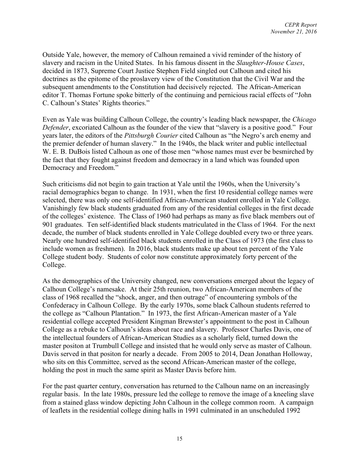Outside Yale, however, the memory of Calhoun remained a vivid reminder of the history of slavery and racism in the United States. In his famous dissent in the *Slaughter-House Cases*, decided in 1873, Supreme Court Justice Stephen Field singled out Calhoun and cited his doctrines as the epitome of the proslavery view of the Constitution that the Civil War and the subsequent amendments to the Constitution had decisively rejected. The African-American editor T. Thomas Fortune spoke bitterly of the continuing and pernicious racial effects of "John C. Calhoun's States' Rights theories."

Even as Yale was building Calhoun College, the country's leading black newspaper, the *Chicago Defender*, excoriated Calhoun as the founder of the view that "slavery is a positive good." Four years later, the editors of the *Pittsburgh Courier* cited Calhoun as "the Negro's arch enemy and the premier defender of human slavery." In the 1940s, the black writer and public intellectual W. E. B. DuBois listed Calhoun as one of those men "whose names must ever be besmirched by the fact that they fought against freedom and democracy in a land which was founded upon Democracy and Freedom."

Such criticisms did not begin to gain traction at Yale until the 1960s, when the University's racial demographics began to change. In 1931, when the first 10 residential college names were selected, there was only one self-identified African-American student enrolled in Yale College. Vanishingly few black students graduated from any of the residential colleges in the first decade of the colleges' existence. The Class of 1960 had perhaps as many as five black members out of 901 graduates. Ten self-identified black students matriculated in the Class of 1964. For the next decade, the number of black students enrolled in Yale College doubled every two or three years. Nearly one hundred self-identified black students enrolled in the Class of 1973 (the first class to include women as freshmen). In 2016, black students make up about ten percent of the Yale College student body. Students of color now constitute approximately forty percent of the College.

As the demographics of the University changed, new conversations emerged about the legacy of Calhoun College's namesake. At their 25th reunion, two African-American members of the class of 1968 recalled the "shock, anger, and then outrage" of encountering symbols of the Confederacy in Calhoun College. By the early 1970s, some black Calhoun students referred to the college as "Calhoun Plantation." In 1973, the first African-American master of a Yale residential college accepted President Kingman Brewster's appointment to the post in Calhoun College as a rebuke to Calhoun's ideas about race and slavery. Professor Charles Davis, one of the intellectual founders of African-American Studies as a scholarly field, turned down the master positon at Trumbull College and insisted that he would only serve as master of Calhoun. Davis served in that positon for nearly a decade. From 2005 to 2014, Dean Jonathan Holloway, who sits on this Committee, served as the second African-American master of the college, holding the post in much the same spirit as Master Davis before him.

For the past quarter century, conversation has returned to the Calhoun name on an increasingly regular basis. In the late 1980s, pressure led the college to remove the image of a kneeling slave from a stained glass window depicting John Calhoun in the college common room. A campaign of leaflets in the residential college dining halls in 1991 culminated in an unscheduled 1992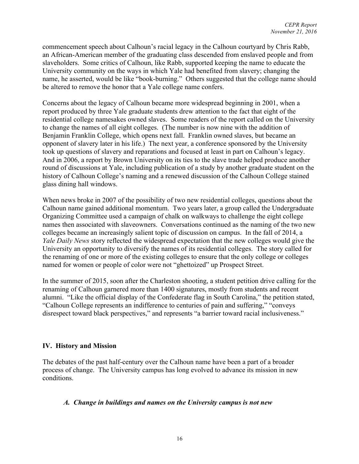commencement speech about Calhoun's racial legacy in the Calhoun courtyard by Chris Rabb, an African-American member of the graduating class descended from enslaved people and from slaveholders. Some critics of Calhoun, like Rabb, supported keeping the name to educate the University community on the ways in which Yale had benefited from slavery; changing the name, he asserted, would be like "book-burning." Others suggested that the college name should be altered to remove the honor that a Yale college name confers.

Concerns about the legacy of Calhoun became more widespread beginning in 2001, when a report produced by three Yale graduate students drew attention to the fact that eight of the residential college namesakes owned slaves. Some readers of the report called on the University to change the names of all eight colleges. (The number is now nine with the addition of Benjamin Franklin College, which opens next fall. Franklin owned slaves, but became an opponent of slavery later in his life.) The next year, a conference sponsored by the University took up questions of slavery and reparations and focused at least in part on Calhoun's legacy. And in 2006, a report by Brown University on its ties to the slave trade helped produce another round of discussions at Yale, including publication of a study by another graduate student on the history of Calhoun College's naming and a renewed discussion of the Calhoun College stained glass dining hall windows.

When news broke in 2007 of the possibility of two new residential colleges, questions about the Calhoun name gained additional momentum. Two years later, a group called the Undergraduate Organizing Committee used a campaign of chalk on walkways to challenge the eight college names then associated with slaveowners. Conversations continued as the naming of the two new colleges became an increasingly salient topic of discussion on campus. In the fall of 2014, a *Yale Daily News* story reflected the widespread expectation that the new colleges would give the University an opportunity to diversify the names of its residential colleges. The story called for the renaming of one or more of the existing colleges to ensure that the only college or colleges named for women or people of color were not "ghettoized" up Prospect Street.

In the summer of 2015, soon after the Charleston shooting, a student petition drive calling for the renaming of Calhoun garnered more than 1400 signatures, mostly from students and recent alumni. "Like the official display of the Confederate flag in South Carolina," the petition stated, "Calhoun College represents an indifference to centuries of pain and suffering," "conveys disrespect toward black perspectives," and represents "a barrier toward racial inclusiveness."

## **IV. History and Mission**

The debates of the past half-century over the Calhoun name have been a part of a broader process of change. The University campus has long evolved to advance its mission in new conditions.

#### *A. Change in buildings and names on the University campus is not new*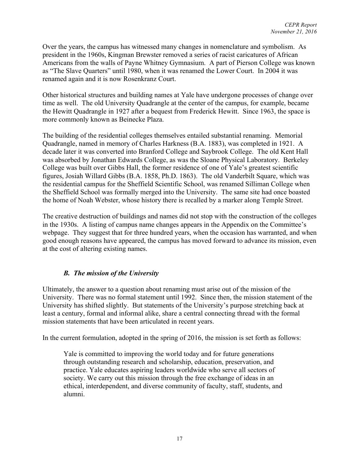Over the years, the campus has witnessed many changes in nomenclature and symbolism. As president in the 1960s, Kingman Brewster removed a series of racist caricatures of African Americans from the walls of Payne Whitney Gymnasium. A part of Pierson College was known as "The Slave Quarters" until 1980, when it was renamed the Lower Court. In 2004 it was renamed again and it is now Rosenkranz Court.

Other historical structures and building names at Yale have undergone processes of change over time as well. The old University Quadrangle at the center of the campus, for example, became the Hewitt Quadrangle in 1927 after a bequest from Frederick Hewitt. Since 1963, the space is more commonly known as Beinecke Plaza.

The building of the residential colleges themselves entailed substantial renaming. Memorial Quadrangle, named in memory of Charles Harkness (B.A. 1883), was completed in 1921. A decade later it was converted into Branford College and Saybrook College. The old Kent Hall was absorbed by Jonathan Edwards College, as was the Sloane Physical Laboratory. Berkeley College was built over Gibbs Hall, the former residence of one of Yale's greatest scientific figures, Josiah Willard Gibbs (B.A. 1858, Ph.D. 1863). The old Vanderbilt Square, which was the residential campus for the Sheffield Scientific School, was renamed Silliman College when the Sheffield School was formally merged into the University. The same site had once boasted the home of Noah Webster, whose history there is recalled by a marker along Temple Street.

The creative destruction of buildings and names did not stop with the construction of the colleges in the 1930s. A listing of campus name changes appears in the Appendix on the Committee's webpage. They suggest that for three hundred years, when the occasion has warranted, and when good enough reasons have appeared, the campus has moved forward to advance its mission, even at the cost of altering existing names.

## *B. The mission of the University*

Ultimately, the answer to a question about renaming must arise out of the mission of the University. There was no formal statement until 1992. Since then, the mission statement of the University has shifted slightly. But statements of the University's purpose stretching back at least a century, formal and informal alike, share a central connecting thread with the formal mission statements that have been articulated in recent years.

In the current formulation, adopted in the spring of 2016, the mission is set forth as follows:

Yale is committed to improving the world today and for future generations through outstanding research and scholarship, education, preservation, and practice. Yale educates aspiring leaders worldwide who serve all sectors of society. We carry out this mission through the free exchange of ideas in an ethical, interdependent, and diverse community of faculty, staff, students, and alumni.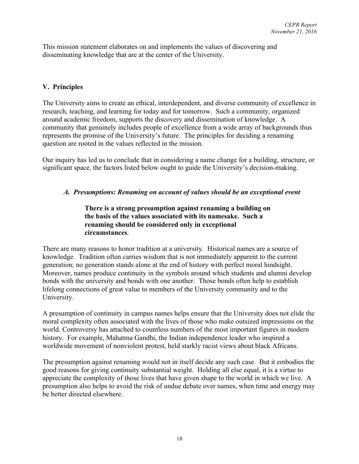This mission statement elaborates on and implements the values of discovering and disseminating knowledge that are at the center of the University.

# **V. Principles**

The University aims to create an ethical, interdependent, and diverse community of excellence in research, teaching, and learning for today and for tomorrow. Such a community, organized around academic freedom, supports the discovery and dissemination of knowledge. A community that genuinely includes people of excellence from a wide array of backgrounds thus represents the promise of the University's future. The principles for deciding a renaming question are rooted in the values reflected in the mission.

Our inquiry has led us to conclude that in considering a name change for a building, structure, or significant space, the factors listed below ought to guide the University's decision-making.

### *A. Presumptions: Renaming on account of values should be an exceptional event*

### **There is a strong presumption against renaming a building on the basis of the values associated with its namesake. Such a renaming should be considered only in exceptional circumstances**.

There are many reasons to honor tradition at a university. Historical names are a source of knowledge. Tradition often carries wisdom that is not immediately apparent to the current generation; no generation stands alone at the end of history with perfect moral hindsight. Moreover, names produce continuity in the symbols around which students and alumni develop bonds with the university and bonds with one another. Those bonds often help to establish lifelong connections of great value to members of the University community and to the University.

A presumption of continuity in campus names helps ensure that the University does not elide the moral complexity often associated with the lives of those who make outsized impressions on the world. Controversy has attached to countless numbers of the most important figures in modern history. For example, Mahatma Gandhi, the Indian independence leader who inspired a worldwide movement of nonviolent protest, held starkly racist views about black Africans.

The presumption against renaming would not in itself decide any such case. But it embodies the good reasons for giving continuity substantial weight. Holding all else equal, it is a virtue to appreciate the complexity of those lives that have given shape to the world in which we live. A presumption also helps to avoid the risk of undue debate over names, when time and energy may be better directed elsewhere.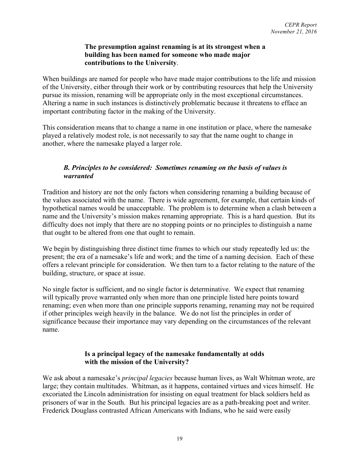#### **The presumption against renaming is at its strongest when a building has been named for someone who made major contributions to the University**.

When buildings are named for people who have made major contributions to the life and mission of the University, either through their work or by contributing resources that help the University pursue its mission, renaming will be appropriate only in the most exceptional circumstances. Altering a name in such instances is distinctively problematic because it threatens to efface an important contributing factor in the making of the University.

This consideration means that to change a name in one institution or place, where the namesake played a relatively modest role, is not necessarily to say that the name ought to change in another, where the namesake played a larger role.

## *B. Principles to be considered: Sometimes renaming on the basis of values is warranted*

Tradition and history are not the only factors when considering renaming a building because of the values associated with the name. There is wide agreement, for example, that certain kinds of hypothetical names would be unacceptable. The problem is to determine when a clash between a name and the University's mission makes renaming appropriate. This is a hard question. But its difficulty does not imply that there are no stopping points or no principles to distinguish a name that ought to be altered from one that ought to remain.

We begin by distinguishing three distinct time frames to which our study repeatedly led us: the present; the era of a namesake's life and work; and the time of a naming decision. Each of these offers a relevant principle for consideration. We then turn to a factor relating to the nature of the building, structure, or space at issue.

No single factor is sufficient, and no single factor is determinative. We expect that renaming will typically prove warranted only when more than one principle listed here points toward renaming; even when more than one principle supports renaming, renaming may not be required if other principles weigh heavily in the balance. We do not list the principles in order of significance because their importance may vary depending on the circumstances of the relevant name.

### **Is a principal legacy of the namesake fundamentally at odds with the mission of the University?**

We ask about a namesake's *principal legacies* because human lives, as Walt Whitman wrote, are large; they contain multitudes. Whitman, as it happens, contained virtues and vices himself. He excoriated the Lincoln administration for insisting on equal treatment for black soldiers held as prisoners of war in the South. But his principal legacies are as a path-breaking poet and writer. Frederick Douglass contrasted African Americans with Indians, who he said were easily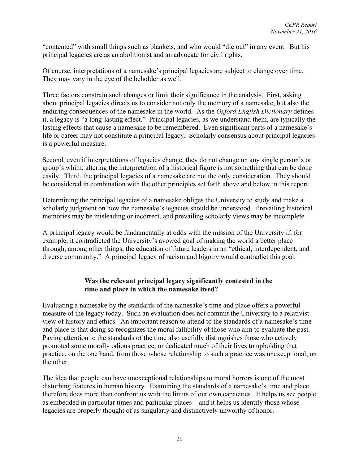"contented" with small things such as blankets, and who would "die out" in any event. But his principal legacies are as an abolitionist and an advocate for civil rights.

Of course, interpretations of a namesake's principal legacies are subject to change over time. They may vary in the eye of the beholder as well.

Three factors constrain such changes or limit their significance in the analysis. First, asking about principal legacies directs us to consider not only the memory of a namesake, but also the enduring consequences of the namesake in the world. As the *Oxford English Dictionary* defines it, a legacy is "a long-lasting effect." Principal legacies, as we understand them, are typically the lasting effects that cause a namesake to be remembered. Even significant parts of a namesake's life or career may not constitute a principal legacy. Scholarly consensus about principal legacies is a powerful measure.

Second, even if interpretations of legacies change, they do not change on any single person's or group's whim; altering the interpretation of a historical figure is not something that can be done easily. Third, the principal legacies of a namesake are not the only consideration. They should be considered in combination with the other principles set forth above and below in this report.

Determining the principal legacies of a namesake obliges the University to study and make a scholarly judgment on how the namesake's legacies should be understood. Prevailing historical memories may be misleading or incorrect, and prevailing scholarly views may be incomplete.

A principal legacy would be fundamentally at odds with the mission of the University if, for example, it contradicted the University's avowed goal of making the world a better place through, among other things, the education of future leaders in an "ethical, interdependent, and diverse community." A principal legacy of racism and bigotry would contradict this goal.

### **Was the relevant principal legacy significantly contested in the time and place in which the namesake lived?**

Evaluating a namesake by the standards of the namesake's time and place offers a powerful measure of the legacy today. Such an evaluation does not commit the University to a relativist view of history and ethics. An important reason to attend to the standards of a namesake's time and place is that doing so recognizes the moral fallibility of those who aim to evaluate the past. Paying attention to the standards of the time also usefully distinguishes those who actively promoted some morally odious practice, or dedicated much of their lives to upholding that practice, on the one hand, from those whose relationship to such a practice was unexceptional, on the other.

The idea that people can have unexceptional relationships to moral horrors is one of the most disturbing features in human history. Examining the standards of a namesake's time and place therefore does more than confront us with the limits of our own capacities. It helps us see people as embedded in particular times and particular places – and it helps us identify those whose legacies are properly thought of as singularly and distinctively unworthy of honor.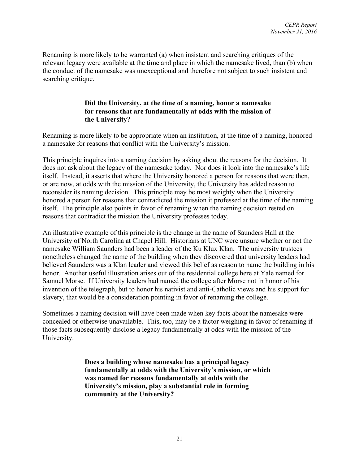Renaming is more likely to be warranted (a) when insistent and searching critiques of the relevant legacy were available at the time and place in which the namesake lived, than (b) when the conduct of the namesake was unexceptional and therefore not subject to such insistent and searching critique.

### **Did the University, at the time of a naming, honor a namesake for reasons that are fundamentally at odds with the mission of the University?**

Renaming is more likely to be appropriate when an institution, at the time of a naming, honored a namesake for reasons that conflict with the University's mission.

This principle inquires into a naming decision by asking about the reasons for the decision. It does not ask about the legacy of the namesake today. Nor does it look into the namesake's life itself. Instead, it asserts that where the University honored a person for reasons that were then, or are now, at odds with the mission of the University, the University has added reason to reconsider its naming decision. This principle may be most weighty when the University honored a person for reasons that contradicted the mission it professed at the time of the naming itself. The principle also points in favor of renaming when the naming decision rested on reasons that contradict the mission the University professes today.

An illustrative example of this principle is the change in the name of Saunders Hall at the University of North Carolina at Chapel Hill. Historians at UNC were unsure whether or not the namesake William Saunders had been a leader of the Ku Klux Klan. The university trustees nonetheless changed the name of the building when they discovered that university leaders had believed Saunders was a Klan leader and viewed this belief as reason to name the building in his honor. Another useful illustration arises out of the residential college here at Yale named for Samuel Morse. If University leaders had named the college after Morse not in honor of his invention of the telegraph, but to honor his nativist and anti-Catholic views and his support for slavery, that would be a consideration pointing in favor of renaming the college.

Sometimes a naming decision will have been made when key facts about the namesake were concealed or otherwise unavailable. This, too, may be a factor weighing in favor of renaming if those facts subsequently disclose a legacy fundamentally at odds with the mission of the University.

> **Does a building whose namesake has a principal legacy fundamentally at odds with the University's mission, or which was named for reasons fundamentally at odds with the University's mission, play a substantial role in forming community at the University?**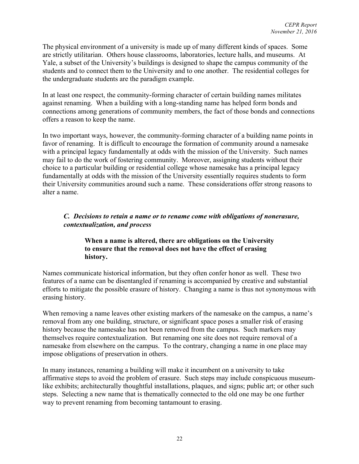The physical environment of a university is made up of many different kinds of spaces. Some are strictly utilitarian. Others house classrooms, laboratories, lecture halls, and museums. At Yale, a subset of the University's buildings is designed to shape the campus community of the students and to connect them to the University and to one another. The residential colleges for the undergraduate students are the paradigm example.

In at least one respect, the community-forming character of certain building names militates against renaming. When a building with a long-standing name has helped form bonds and connections among generations of community members, the fact of those bonds and connections offers a reason to keep the name.

In two important ways, however, the community-forming character of a building name points in favor of renaming. It is difficult to encourage the formation of community around a namesake with a principal legacy fundamentally at odds with the mission of the University. Such names may fail to do the work of fostering community. Moreover, assigning students without their choice to a particular building or residential college whose namesake has a principal legacy fundamentally at odds with the mission of the University essentially requires students to form their University communities around such a name. These considerations offer strong reasons to alter a name.

### *C. Decisions to retain a name or to rename come with obligations of nonerasure, contextualization, and process*

### **When a name is altered, there are obligations on the University to ensure that the removal does not have the effect of erasing history.**

Names communicate historical information, but they often confer honor as well. These two features of a name can be disentangled if renaming is accompanied by creative and substantial efforts to mitigate the possible erasure of history. Changing a name is thus not synonymous with erasing history.

When removing a name leaves other existing markers of the namesake on the campus, a name's removal from any one building, structure, or significant space poses a smaller risk of erasing history because the namesake has not been removed from the campus. Such markers may themselves require contextualization. But renaming one site does not require removal of a namesake from elsewhere on the campus. To the contrary, changing a name in one place may impose obligations of preservation in others.

In many instances, renaming a building will make it incumbent on a university to take affirmative steps to avoid the problem of erasure. Such steps may include conspicuous museumlike exhibits; architecturally thoughtful installations, plaques, and signs; public art; or other such steps. Selecting a new name that is thematically connected to the old one may be one further way to prevent renaming from becoming tantamount to erasing.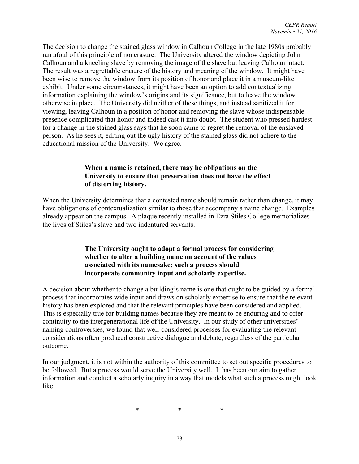The decision to change the stained glass window in Calhoun College in the late 1980s probably ran afoul of this principle of nonerasure. The University altered the window depicting John Calhoun and a kneeling slave by removing the image of the slave but leaving Calhoun intact. The result was a regrettable erasure of the history and meaning of the window. It might have been wise to remove the window from its position of honor and place it in a museum-like exhibit. Under some circumstances, it might have been an option to add contextualizing information explaining the window's origins and its significance, but to leave the window otherwise in place. The University did neither of these things, and instead sanitized it for viewing, leaving Calhoun in a position of honor and removing the slave whose indispensable presence complicated that honor and indeed cast it into doubt. The student who pressed hardest for a change in the stained glass says that he soon came to regret the removal of the enslaved person. As he sees it, editing out the ugly history of the stained glass did not adhere to the educational mission of the University. We agree.

### **When a name is retained, there may be obligations on the University to ensure that preservation does not have the effect of distorting history.**

When the University determines that a contested name should remain rather than change, it may have obligations of contextualization similar to those that accompany a name change. Examples already appear on the campus. A plaque recently installed in Ezra Stiles College memorializes the lives of Stiles's slave and two indentured servants.

### **The University ought to adopt a formal process for considering whether to alter a building name on account of the values associated with its namesake; such a process should incorporate community input and scholarly expertise.**

A decision about whether to change a building's name is one that ought to be guided by a formal process that incorporates wide input and draws on scholarly expertise to ensure that the relevant history has been explored and that the relevant principles have been considered and applied. This is especially true for building names because they are meant to be enduring and to offer continuity to the intergenerational life of the University. In our study of other universities' naming controversies, we found that well-considered processes for evaluating the relevant considerations often produced constructive dialogue and debate, regardless of the particular outcome.

In our judgment, it is not within the authority of this committee to set out specific procedures to be followed. But a process would serve the University well. It has been our aim to gather information and conduct a scholarly inquiry in a way that models what such a process might look like.

\* \* \*

23